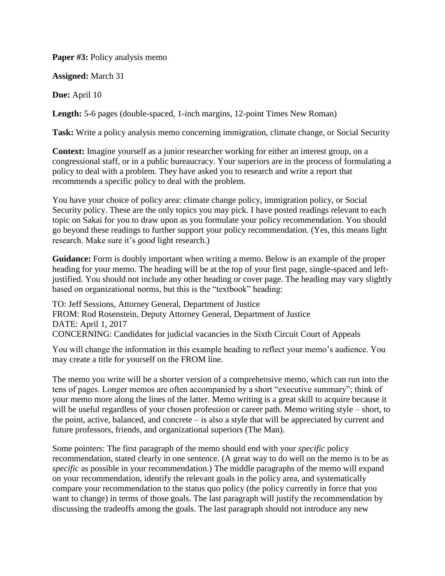**Paper #3:** Policy analysis memo

**Assigned:** March 31

**Due:** April 10

**Length:** 5-6 pages (double-spaced, 1-inch margins, 12-point Times New Roman)

**Task:** Write a policy analysis memo concerning immigration, climate change, or Social Security

**Context:** Imagine yourself as a junior researcher working for either an interest group, on a congressional staff, or in a public bureaucracy. Your superiors are in the process of formulating a policy to deal with a problem. They have asked you to research and write a report that recommends a specific policy to deal with the problem.

You have your choice of policy area: climate change policy, immigration policy, or Social Security policy. These are the only topics you may pick. I have posted readings relevant to each topic on Sakai for you to draw upon as you formulate your policy recommendation. You should go beyond these readings to further support your policy recommendation. (Yes, this means light research. Make sure it's *good* light research.)

**Guidance:** Form is doubly important when writing a memo. Below is an example of the proper heading for your memo. The heading will be at the top of your first page, single-spaced and leftjustified. You should not include any other heading or cover page. The heading may vary slightly based on organizational norms, but this is the "textbook" heading:

TO: Jeff Sessions, Attorney General, Department of Justice FROM: Rod Rosenstein, Deputy Attorney General, Department of Justice DATE: April 1, 2017 CONCERNING: Candidates for judicial vacancies in the Sixth Circuit Court of Appeals

You will change the information in this example heading to reflect your memo's audience. You may create a title for yourself on the FROM line.

The memo you write will be a shorter version of a comprehensive memo, which can run into the tens of pages. Longer memos are often accompanied by a short "executive summary"; think of your memo more along the lines of the latter. Memo writing is a great skill to acquire because it will be useful regardless of your chosen profession or career path. Memo writing style – short, to the point, active, balanced, and concrete – is also a style that will be appreciated by current and future professors, friends, and organizational superiors (The Man).

Some pointers: The first paragraph of the memo should end with your *specific* policy recommendation, stated clearly in one sentence. (A great way to do well on the memo is to be as *specific* as possible in your recommendation.) The middle paragraphs of the memo will expand on your recommendation, identify the relevant goals in the policy area, and systematically compare your recommendation to the status quo policy (the policy currently in force that you want to change) in terms of those goals. The last paragraph will justify the recommendation by discussing the tradeoffs among the goals. The last paragraph should not introduce any new